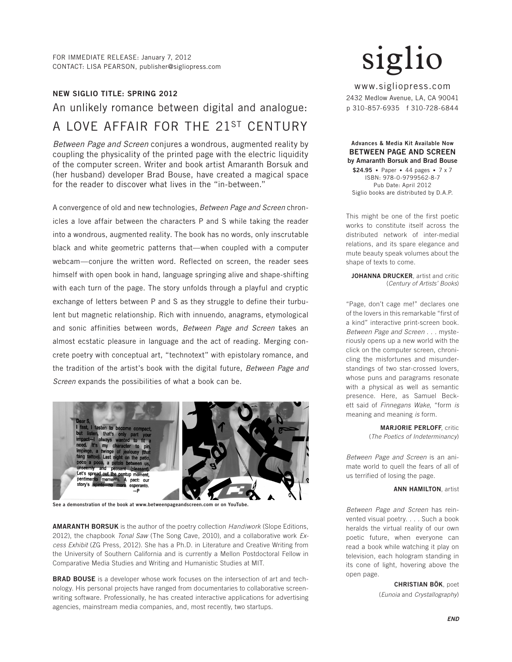# NEW SIGLIO TITLE: SPRING 2012

# An unlikely romance between digital and analogue: A LOVE AFFAIR FOR THE 21ST CENTURY

*Between Page and Screen* conjures a wondrous, augmented reality by coupling the physicality of the printed page with the electric liquidity of the computer screen. Writer and book artist Amaranth Borsuk and (her husband) developer Brad Bouse, have created a magical space for the reader to discover what lives in the "in-between."

A convergence of old and new technologies, *Between Page and Screen* chronicles a love affair between the characters P and S while taking the reader into a wondrous, augmented reality. The book has no words, only inscrutable black and white geometric patterns that—when coupled with a computer webcam—conjure the written word. Reflected on screen, the reader sees himself with open book in hand, language springing alive and shape-shifting with each turn of the page. The story unfolds through a playful and cryptic exchange of letters between P and S as they struggle to define their turbulent but magnetic relationship. Rich with innuendo, anagrams, etymological and sonic affinities between words, *Between Page and Screen* takes an almost ecstatic pleasure in language and the act of reading. Merging concrete poetry with conceptual art, "technotext" with epistolary romance, and the tradition of the artist's book with the digital future, *Between Page and Screen* expands the possibilities of what a book can be.



See a demonstration of the book at www.betweenpageandscreen.com or on YouTube.

AMARANTH BORSUK is the author of the poetry collection *Handiwork* (Slope Editions, 2012), the chapbook *Tonal Saw* (The Song Cave, 2010), and a collaborative work *Excess Exhibit* (ZG Press, 2012). She has a Ph.D. in Literature and Creative Writing from the University of Southern California and is currently a Mellon Postdoctoral Fellow in Comparative Media Studies and Writing and Humanistic Studies at MIT.

BRAD BOUSE is a developer whose work focuses on the intersection of art and technology. His personal projects have ranged from documentaries to collaborative screenwriting software. Professionally, he has created interactive applications for advertising agencies, mainstream media companies, and, most recently, two startups.

www.sigliopress.com 2432 Medlow Avenue, LA, CA 90041 p 310-857-6935 f 310-728-6844

### Advances & Media Kit Available Now BETWEEN PAGE AND SCREEN by Amaranth Borsuk and Brad Bouse

\$24.95 • Paper • 44 pages • 7 x 7 ISBN: 978-0-9799562-8-7 Pub Date: April 2012 Siglio books are distributed by D.A.P.

This might be one of the first poetic works to constitute itself across the distributed network of inter-medial relations, and its spare elegance and mute beauty speak volumes about the shape of texts to come.

JOHANNA DRUCKER, artist and critic (*Century of Artists' Books*)

"Page, don't cage me!" declares one of the lovers in this remarkable "first of a kind" interactive print-screen book. *Between Page and Screen* . . . mysteriously opens up a new world with the click on the computer screen, chronicling the misfortunes and misunderstandings of two star-crossed lovers, whose puns and paragrams resonate with a physical as well as semantic presence. Here, as Samuel Beckett said of *Finnegans Wake*, "form *is* meaning and meaning *is* form.

> MARJORIE PERLOFF, critic (*The Poetics of Indeterminancy*)

*Between Page and Screen* is an animate world to quell the fears of all of us terrified of losing the page.

### **ANN HAMILTON** artist

*Between Page and Screen* has reinvented visual poetry. . . . Such a book heralds the virtual reality of our own poetic future, when everyone can read a book while watching it play on television, each hologram standing in its cone of light, hovering above the open page.

> CHRISTIAN BÖK, poet (*Eunoia* and *Crystallography*)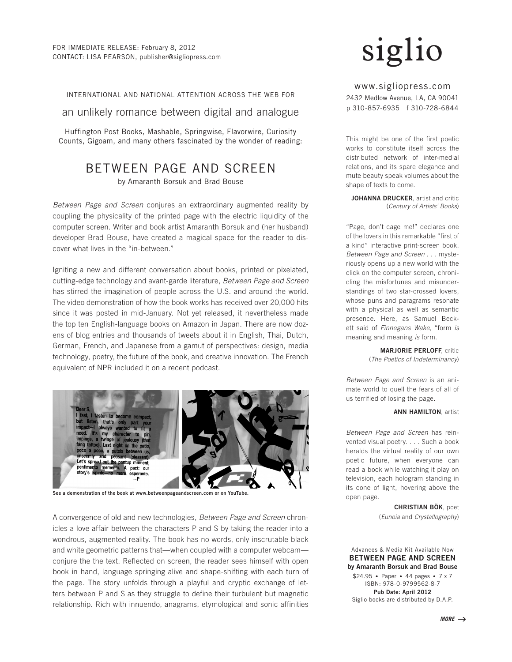INTERNATIONAL AND NATIONAL ATTENTION ACROSS THE WEB FOR

an unlikely romance between digital and analogue

Huffington Post Books, Mashable, Springwise, Flavorwire, Curiosity Counts, Gigoam, and many others fascinated by the wonder of reading:

# BETWEEN PAGE AND SCREEN

by Amaranth Borsuk and Brad Bouse

*Between Page and Screen* conjures an extraordinary augmented reality by coupling the physicality of the printed page with the electric liquidity of the computer screen. Writer and book artist Amaranth Borsuk and (her husband) developer Brad Bouse, have created a magical space for the reader to discover what lives in the "in-between."

Igniting a new and different conversation about books, printed or pixelated, cutting-edge technology and avant-garde literature, *Between Page and Screen*  has stirred the imagination of people across the U.S. and around the world. The video demonstration of how the book works has received over 20,000 hits since it was posted in mid-January. Not yet released, it nevertheless made the top ten English-language books on Amazon in Japan. There are now dozens of blog entries and thousands of tweets about it in English, Thai, Dutch, German, French, and Japanese from a gamut of perspectives: design, media technology, poetry, the future of the book, and creative innovation. The French equivalent of NPR included it on a recent podcast.



See a demonstration of the book at www.betweenpageandscreen.com or on YouTube.

A convergence of old and new technologies, *Between Page and Screen* chronicles a love affair between the characters P and S by taking the reader into a wondrous, augmented reality. The book has no words, only inscrutable black and white geometric patterns that—when coupled with a computer webcam conjure the the text. Reflected on screen, the reader sees himself with open book in hand, language springing alive and shape-shifting with each turn of the page. The story unfolds through a playful and cryptic exchange of letters between P and S as they struggle to define their turbulent but magnetic relationship. Rich with innuendo, anagrams, etymological and sonic affinities

www.sigliopress.com 2432 Medlow Avenue, LA, CA 90041 p 310-857-6935 f 310-728-6844

This might be one of the first poetic works to constitute itself across the distributed network of inter-medial relations, and its spare elegance and mute beauty speak volumes about the shape of texts to come.

JOHANNA DRUCKER, artist and critic (*Century of Artists' Books*)

"Page, don't cage me!" declares one of the lovers in this remarkable "first of a kind" interactive print-screen book. *Between Page and Screen* . . . mysteriously opens up a new world with the click on the computer screen, chronicling the misfortunes and misunderstandings of two star-crossed lovers, whose puns and paragrams resonate with a physical as well as semantic presence. Here, as Samuel Beckett said of *Finnegans Wake*, "form *is* meaning and meaning *is* form.

> MARJORIE PERLOFF, critic (*The Poetics of Indeterminancy*)

*Between Page and Screen* is an animate world to quell the fears of all of us terrified of losing the page.

#### ANN HAMILTON, artist

*Between Page and Screen* has reinvented visual poetry. . . . Such a book heralds the virtual reality of our own poetic future, when everyone can read a book while watching it play on television, each hologram standing in its cone of light, hovering above the open page.

> CHRISTIAN BÖK, poet (*Eunoia* and *Crystallography*)

Advances & Media Kit Available Now BETWEEN PAGE AND SCREEN by Amaranth Borsuk and Brad Bouse

\$24.95 • Paper • 44 pages • 7 x 7 ISBN: 978-0-9799562-8-7 Pub Date: April 2012 Siglio books are distributed by D.A.P.